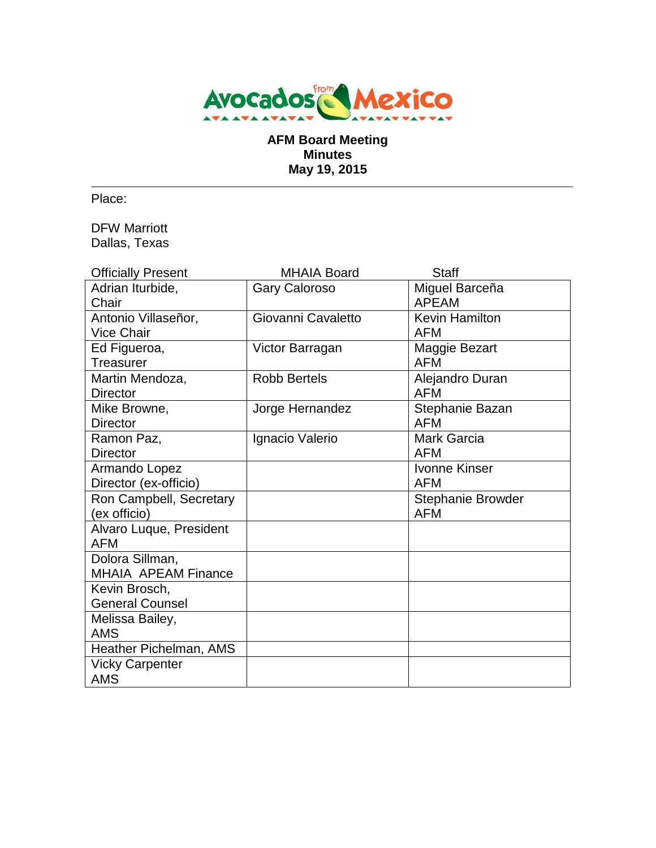

# **AFM Board Meeting Minutes May 19, 2015**

Place:

DFW Marriott Dallas, Texas

| <b>Officially Present</b> | <b>MHAIA Board</b>   | <b>Staff</b>             |
|---------------------------|----------------------|--------------------------|
| Adrian Iturbide,          | <b>Gary Caloroso</b> | Miguel Barceña           |
| Chair                     |                      | <b>APEAM</b>             |
| Antonio Villaseñor,       | Giovanni Cavaletto   | <b>Kevin Hamilton</b>    |
| <b>Vice Chair</b>         |                      | <b>AFM</b>               |
| Ed Figueroa,              | Victor Barragan      | Maggie Bezart            |
| Treasurer                 |                      | <b>AFM</b>               |
| Martin Mendoza,           | <b>Robb Bertels</b>  | Alejandro Duran          |
| <b>Director</b>           |                      | <b>AFM</b>               |
| Mike Browne,              | Jorge Hernandez      | Stephanie Bazan          |
| <b>Director</b>           |                      | <b>AFM</b>               |
| Ramon Paz,                | Ignacio Valerio      | <b>Mark Garcia</b>       |
| <b>Director</b>           |                      | <b>AFM</b>               |
| Armando Lopez             |                      | <b>Ivonne Kinser</b>     |
| Director (ex-officio)     |                      | <b>AFM</b>               |
| Ron Campbell, Secretary   |                      | <b>Stephanie Browder</b> |
| (ex officio)              |                      | <b>AFM</b>               |
| Alvaro Luque, President   |                      |                          |
| <b>AFM</b>                |                      |                          |
| Dolora Sillman,           |                      |                          |
| MHAIA APEAM Finance       |                      |                          |
| Kevin Brosch,             |                      |                          |
| <b>General Counsel</b>    |                      |                          |
| Melissa Bailey,           |                      |                          |
| <b>AMS</b>                |                      |                          |
| Heather Pichelman, AMS    |                      |                          |
| <b>Vicky Carpenter</b>    |                      |                          |
| <b>AMS</b>                |                      |                          |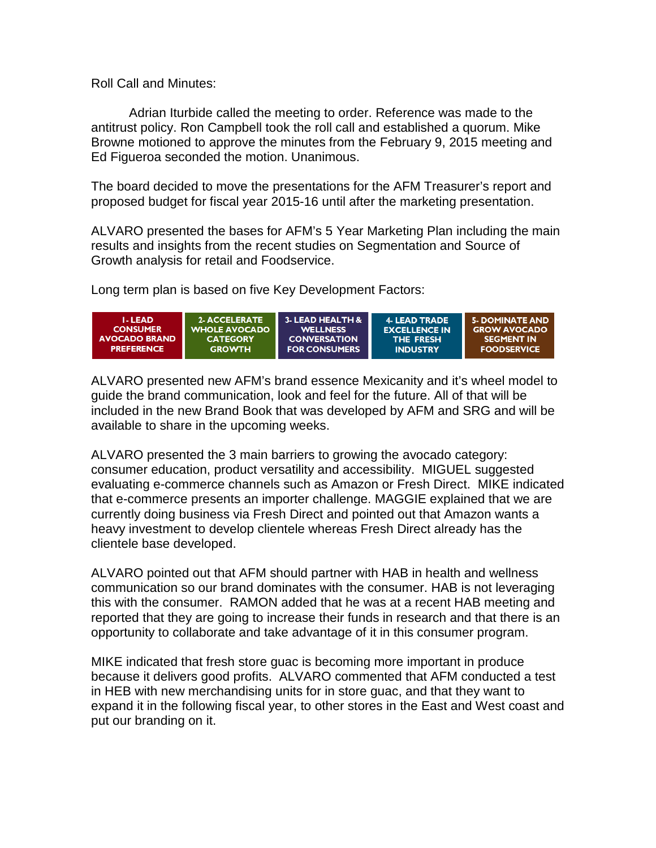Roll Call and Minutes:

Adrian Iturbide called the meeting to order. Reference was made to the antitrust policy. Ron Campbell took the roll call and established a quorum. Mike Browne motioned to approve the minutes from the February 9, 2015 meeting and Ed Figueroa seconded the motion. Unanimous.

The board decided to move the presentations for the AFM Treasurer's report and proposed budget for fiscal year 2015-16 until after the marketing presentation.

ALVARO presented the bases for AFM's 5 Year Marketing Plan including the main results and insights from the recent studies on Segmentation and Source of Growth analysis for retail and Foodservice.

Long term plan is based on five Key Development Factors:



ALVARO presented new AFM's brand essence Mexicanity and it's wheel model to guide the brand communication, look and feel for the future. All of that will be included in the new Brand Book that was developed by AFM and SRG and will be available to share in the upcoming weeks.

ALVARO presented the 3 main barriers to growing the avocado category: consumer education, product versatility and accessibility. MIGUEL suggested evaluating e-commerce channels such as Amazon or Fresh Direct. MIKE indicated that e-commerce presents an importer challenge. MAGGIE explained that we are currently doing business via Fresh Direct and pointed out that Amazon wants a heavy investment to develop clientele whereas Fresh Direct already has the clientele base developed.

ALVARO pointed out that AFM should partner with HAB in health and wellness communication so our brand dominates with the consumer. HAB is not leveraging this with the consumer. RAMON added that he was at a recent HAB meeting and reported that they are going to increase their funds in research and that there is an opportunity to collaborate and take advantage of it in this consumer program.

MIKE indicated that fresh store guac is becoming more important in produce because it delivers good profits. ALVARO commented that AFM conducted a test in HEB with new merchandising units for in store guac, and that they want to expand it in the following fiscal year, to other stores in the East and West coast and put our branding on it.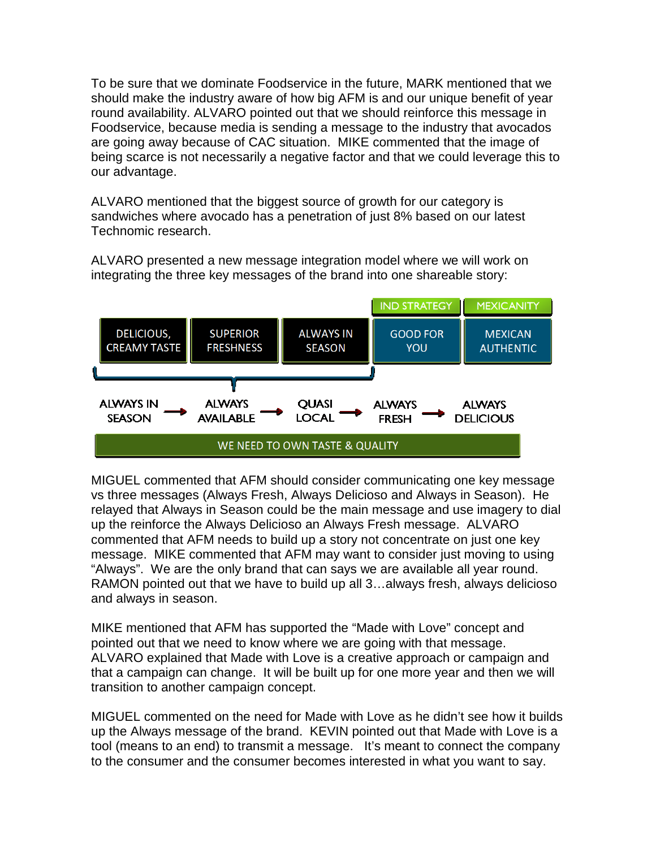To be sure that we dominate Foodservice in the future, MARK mentioned that we should make the industry aware of how big AFM is and our unique benefit of year round availability. ALVARO pointed out that we should reinforce this message in Foodservice, because media is sending a message to the industry that avocados are going away because of CAC situation. MIKE commented that the image of being scarce is not necessarily a negative factor and that we could leverage this to our advantage.

ALVARO mentioned that the biggest source of growth for our category is sandwiches where avocado has a penetration of just 8% based on our latest Technomic research.

ALVARO presented a new message integration model where we will work on integrating the three key messages of the brand into one shareable story:



MIGUEL commented that AFM should consider communicating one key message vs three messages (Always Fresh, Always Delicioso and Always in Season). He relayed that Always in Season could be the main message and use imagery to dial up the reinforce the Always Delicioso an Always Fresh message. ALVARO commented that AFM needs to build up a story not concentrate on just one key message. MIKE commented that AFM may want to consider just moving to using "Always". We are the only brand that can says we are available all year round. RAMON pointed out that we have to build up all 3…always fresh, always delicioso and always in season.

MIKE mentioned that AFM has supported the "Made with Love" concept and pointed out that we need to know where we are going with that message. ALVARO explained that Made with Love is a creative approach or campaign and that a campaign can change. It will be built up for one more year and then we will transition to another campaign concept.

MIGUEL commented on the need for Made with Love as he didn't see how it builds up the Always message of the brand. KEVIN pointed out that Made with Love is a tool (means to an end) to transmit a message. It's meant to connect the company to the consumer and the consumer becomes interested in what you want to say.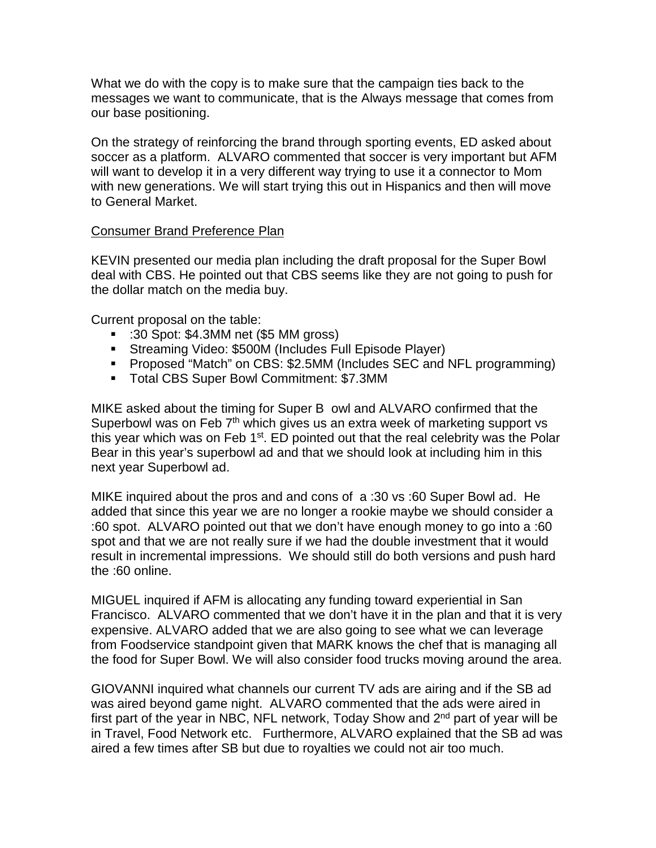What we do with the copy is to make sure that the campaign ties back to the messages we want to communicate, that is the Always message that comes from our base positioning.

On the strategy of reinforcing the brand through sporting events, ED asked about soccer as a platform. ALVARO commented that soccer is very important but AFM will want to develop it in a very different way trying to use it a connector to Mom with new generations. We will start trying this out in Hispanics and then will move to General Market.

# Consumer Brand Preference Plan

KEVIN presented our media plan including the draft proposal for the Super Bowl deal with CBS. He pointed out that CBS seems like they are not going to push for the dollar match on the media buy.

Current proposal on the table:

- :30 Spot: \$4.3MM net (\$5 MM gross)
- Streaming Video: \$500M (Includes Full Episode Player)
- Proposed "Match" on CBS: \$2.5MM (Includes SEC and NFL programming)
- Total CBS Super Bowl Commitment: \$7.3MM

MIKE asked about the timing for Super B owl and ALVARO confirmed that the Superbowl was on Feb  $7<sup>th</sup>$  which gives us an extra week of marketing support vs this year which was on Feb  $1^{st}$ . ED pointed out that the real celebrity was the Polar Bear in this year's superbowl ad and that we should look at including him in this next year Superbowl ad.

MIKE inquired about the pros and and cons of a :30 vs :60 Super Bowl ad. He added that since this year we are no longer a rookie maybe we should consider a :60 spot. ALVARO pointed out that we don't have enough money to go into a :60 spot and that we are not really sure if we had the double investment that it would result in incremental impressions. We should still do both versions and push hard the :60 online.

MIGUEL inquired if AFM is allocating any funding toward experiential in San Francisco. ALVARO commented that we don't have it in the plan and that it is very expensive. ALVARO added that we are also going to see what we can leverage from Foodservice standpoint given that MARK knows the chef that is managing all the food for Super Bowl. We will also consider food trucks moving around the area.

GIOVANNI inquired what channels our current TV ads are airing and if the SB ad was aired beyond game night. ALVARO commented that the ads were aired in first part of the year in NBC, NFL network, Today Show and 2nd part of year will be in Travel, Food Network etc. Furthermore, ALVARO explained that the SB ad was aired a few times after SB but due to royalties we could not air too much.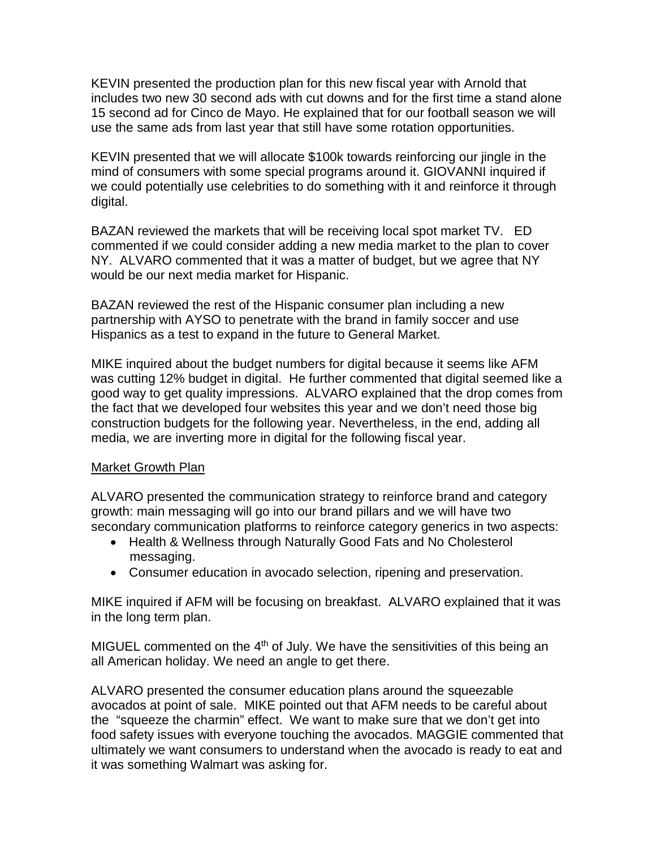KEVIN presented the production plan for this new fiscal year with Arnold that includes two new 30 second ads with cut downs and for the first time a stand alone 15 second ad for Cinco de Mayo. He explained that for our football season we will use the same ads from last year that still have some rotation opportunities.

KEVIN presented that we will allocate \$100k towards reinforcing our jingle in the mind of consumers with some special programs around it. GIOVANNI inquired if we could potentially use celebrities to do something with it and reinforce it through digital.

BAZAN reviewed the markets that will be receiving local spot market TV. ED commented if we could consider adding a new media market to the plan to cover NY. ALVARO commented that it was a matter of budget, but we agree that NY would be our next media market for Hispanic.

BAZAN reviewed the rest of the Hispanic consumer plan including a new partnership with AYSO to penetrate with the brand in family soccer and use Hispanics as a test to expand in the future to General Market.

MIKE inquired about the budget numbers for digital because it seems like AFM was cutting 12% budget in digital. He further commented that digital seemed like a good way to get quality impressions. ALVARO explained that the drop comes from the fact that we developed four websites this year and we don't need those big construction budgets for the following year. Nevertheless, in the end, adding all media, we are inverting more in digital for the following fiscal year.

# Market Growth Plan

ALVARO presented the communication strategy to reinforce brand and category growth: main messaging will go into our brand pillars and we will have two secondary communication platforms to reinforce category generics in two aspects:

- Health & Wellness through Naturally Good Fats and No Cholesterol messaging.
- Consumer education in avocado selection, ripening and preservation.

MIKE inquired if AFM will be focusing on breakfast. ALVARO explained that it was in the long term plan.

MIGUEL commented on the  $4<sup>th</sup>$  of July. We have the sensitivities of this being an all American holiday. We need an angle to get there.

ALVARO presented the consumer education plans around the squeezable avocados at point of sale. MIKE pointed out that AFM needs to be careful about the "squeeze the charmin" effect. We want to make sure that we don't get into food safety issues with everyone touching the avocados. MAGGIE commented that ultimately we want consumers to understand when the avocado is ready to eat and it was something Walmart was asking for.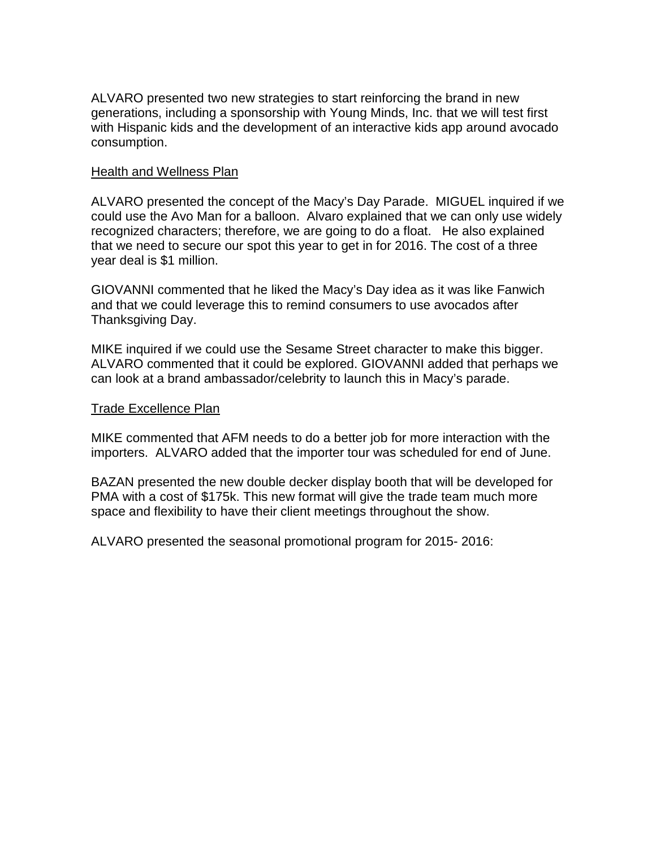ALVARO presented two new strategies to start reinforcing the brand in new generations, including a sponsorship with Young Minds, Inc. that we will test first with Hispanic kids and the development of an interactive kids app around avocado consumption.

## Health and Wellness Plan

ALVARO presented the concept of the Macy's Day Parade. MIGUEL inquired if we could use the Avo Man for a balloon. Alvaro explained that we can only use widely recognized characters; therefore, we are going to do a float. He also explained that we need to secure our spot this year to get in for 2016. The cost of a three year deal is \$1 million.

GIOVANNI commented that he liked the Macy's Day idea as it was like Fanwich and that we could leverage this to remind consumers to use avocados after Thanksgiving Day.

MIKE inquired if we could use the Sesame Street character to make this bigger. ALVARO commented that it could be explored. GIOVANNI added that perhaps we can look at a brand ambassador/celebrity to launch this in Macy's parade.

### Trade Excellence Plan

MIKE commented that AFM needs to do a better job for more interaction with the importers. ALVARO added that the importer tour was scheduled for end of June.

BAZAN presented the new double decker display booth that will be developed for PMA with a cost of \$175k. This new format will give the trade team much more space and flexibility to have their client meetings throughout the show.

ALVARO presented the seasonal promotional program for 2015- 2016: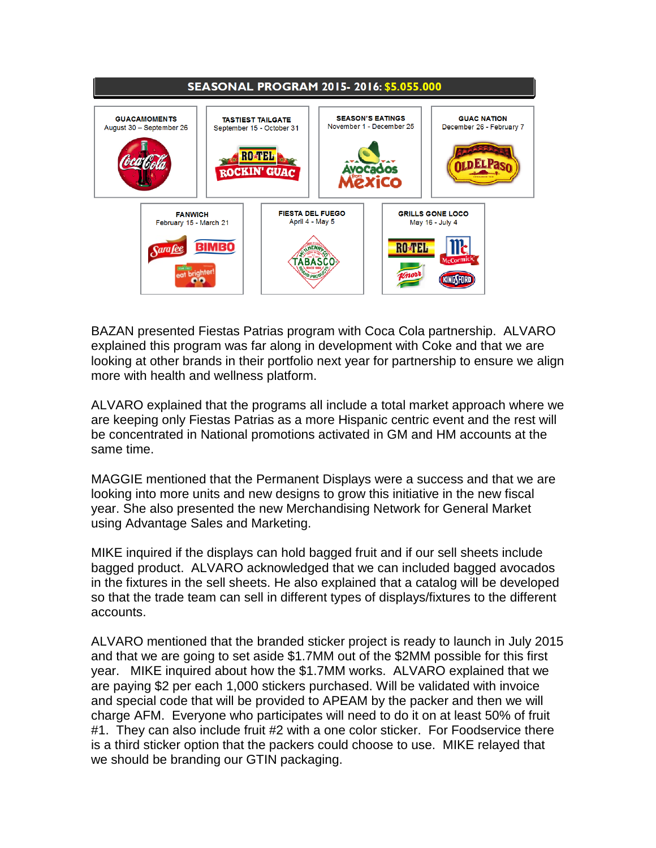

BAZAN presented Fiestas Patrias program with Coca Cola partnership. ALVARO explained this program was far along in development with Coke and that we are looking at other brands in their portfolio next year for partnership to ensure we align more with health and wellness platform.

ALVARO explained that the programs all include a total market approach where we are keeping only Fiestas Patrias as a more Hispanic centric event and the rest will be concentrated in National promotions activated in GM and HM accounts at the same time.

MAGGIE mentioned that the Permanent Displays were a success and that we are looking into more units and new designs to grow this initiative in the new fiscal year. She also presented the new Merchandising Network for General Market using Advantage Sales and Marketing.

MIKE inquired if the displays can hold bagged fruit and if our sell sheets include bagged product. ALVARO acknowledged that we can included bagged avocados in the fixtures in the sell sheets. He also explained that a catalog will be developed so that the trade team can sell in different types of displays/fixtures to the different accounts.

ALVARO mentioned that the branded sticker project is ready to launch in July 2015 and that we are going to set aside \$1.7MM out of the \$2MM possible for this first year. MIKE inquired about how the \$1.7MM works. ALVARO explained that we are paying \$2 per each 1,000 stickers purchased. Will be validated with invoice and special code that will be provided to APEAM by the packer and then we will charge AFM. Everyone who participates will need to do it on at least 50% of fruit #1. They can also include fruit #2 with a one color sticker. For Foodservice there is a third sticker option that the packers could choose to use. MIKE relayed that we should be branding our GTIN packaging.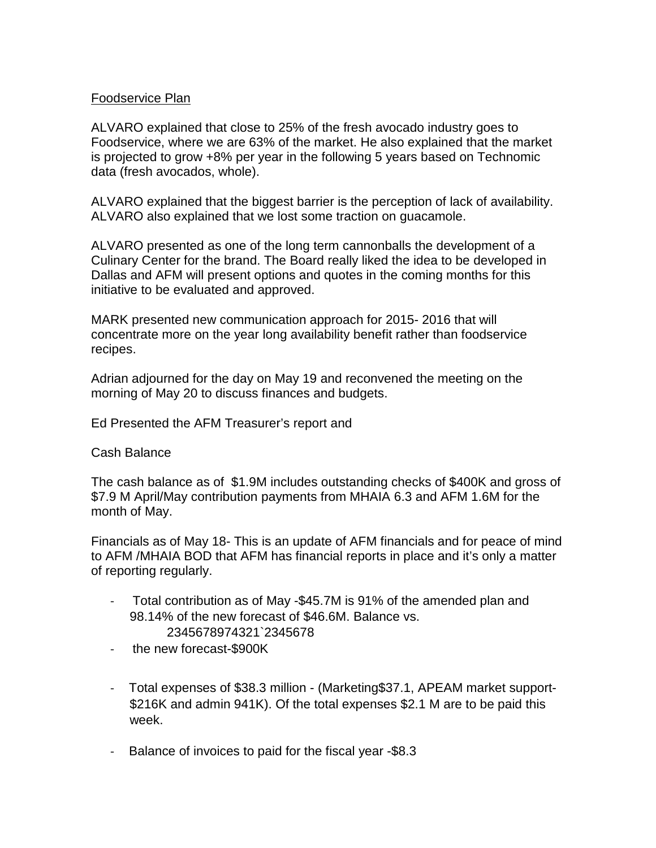# Foodservice Plan

ALVARO explained that close to 25% of the fresh avocado industry goes to Foodservice, where we are 63% of the market. He also explained that the market is projected to grow +8% per year in the following 5 years based on Technomic data (fresh avocados, whole).

ALVARO explained that the biggest barrier is the perception of lack of availability. ALVARO also explained that we lost some traction on guacamole.

ALVARO presented as one of the long term cannonballs the development of a Culinary Center for the brand. The Board really liked the idea to be developed in Dallas and AFM will present options and quotes in the coming months for this initiative to be evaluated and approved.

MARK presented new communication approach for 2015- 2016 that will concentrate more on the year long availability benefit rather than foodservice recipes.

Adrian adjourned for the day on May 19 and reconvened the meeting on the morning of May 20 to discuss finances and budgets.

Ed Presented the AFM Treasurer's report and

#### Cash Balance

The cash balance as of \$1.9M includes outstanding checks of \$400K and gross of \$7.9 M April/May contribution payments from MHAIA 6.3 and AFM 1.6M for the month of May.

Financials as of May 18- This is an update of AFM financials and for peace of mind to AFM /MHAIA BOD that AFM has financial reports in place and it's only a matter of reporting regularly.

- Total contribution as of May -\$45.7M is 91% of the amended plan and 98.14% of the new forecast of \$46.6M. Balance vs. 2345678974321`2345678
- the new forecast-\$900K
- Total expenses of \$38.3 million (Marketing\$37.1, APEAM market support- \$216K and admin 941K). Of the total expenses \$2.1 M are to be paid this week.
- Balance of invoices to paid for the fiscal year -\$8.3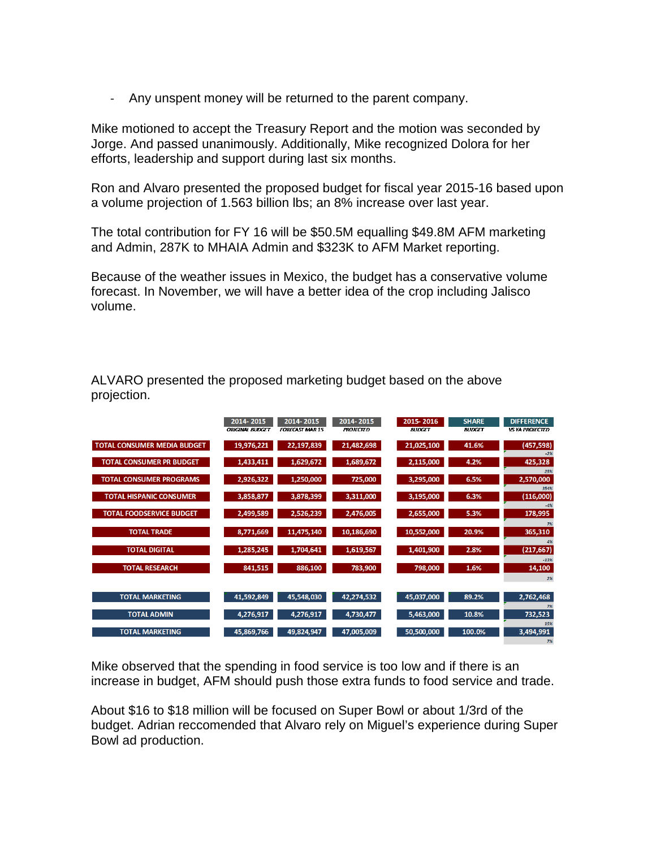- Any unspent money will be returned to the parent company.

Mike motioned to accept the Treasury Report and the motion was seconded by Jorge. And passed unanimously. Additionally, Mike recognized Dolora for her efforts, leadership and support during last six months.

Ron and Alvaro presented the proposed budget for fiscal year 2015-16 based upon a volume projection of 1.563 billion lbs; an 8% increase over last year.

The total contribution for FY 16 will be \$50.5M equalling \$49.8M AFM marketing and Admin, 287K to MHAIA Admin and \$323K to AFM Market reporting.

Because of the weather issues in Mexico, the budget has a conservative volume forecast. In November, we will have a better idea of the crop including Jalisco volume.

ALVARO presented the proposed marketing budget based on the above projection.

|                                    | 2014-2015              | 2014-2015              | 2014-2015        | 2015-2016     | <b>SHARE</b>  | <b>DIFFERENCE</b>      |
|------------------------------------|------------------------|------------------------|------------------|---------------|---------------|------------------------|
|                                    | <b>ORIGINAL BUDGET</b> | <b>FORFCAST MAR 15</b> | <b>PROJECTED</b> | <b>BUDGET</b> | <b>BUDGET</b> | <b>VS YA PROJECTED</b> |
| <b>TOTAL CONSUMER MEDIA BUDGET</b> | 19,976,221             | 22,197,839             | 21,482,698       | 21,025,100    | 41.6%         | (457, 598)             |
| <b>TOTAL CONSUMER PR BUDGET</b>    | 1,433,411              | 1,629,672              | 1,689,672        | 2,115,000     | 4.2%          | $-2%$<br>425,328       |
| <b>TOTAL CONSUMER PROGRAMS</b>     | 2,926,322              | 1,250,000              | 725,000          | 3,295,000     | 6.5%          | 25%<br>2,570,000       |
| <b>TOTAL HISPANIC CONSUMER</b>     | 3,858,877              | 3,878,399              | 3,311,000        | 3,195,000     | 6.3%          | 354%<br>(116,000)      |
| <b>TOTAL FOODSERVICE BUDGET</b>    | 2,499,589              | 2,526,239              | 2,476,005        | 2,655,000     | 5.3%          | 178,995                |
| <b>TOTAL TRADE</b>                 | 8,771,669              | 11,475,140             | 10,186,690       | 10,552,000    | 20.9%         | 7%<br>365,310          |
| <b>TOTAL DIGITAL</b>               | 1,285,245              | 1,704,641              | 1,619,567        | 1,401,900     | 2.8%          | 4%<br>(217, 667)       |
| <b>TOTAL RESEARCH</b>              | 841,515                | 886,100                | 783,900          | 798,000       | 1.6%          | $-13%$<br>14,100       |
|                                    |                        |                        |                  |               |               | 2%                     |
| <b>TOTAL MARKETING</b>             | 41,592,849             | 45,548,030             | 42,274,532       | 45,037,000    | 89.2%         | 2,762,468<br>7%        |
| <b>TOTAL ADMIN</b>                 | 4,276,917              | 4,276,917              | 4,730,477        | 5,463,000     | 10.8%         | 732,523                |
| <b>TOTAL MARKETING</b>             | 45,869,766             | 49,824,947             | 47,005,009       | 50,500,000    | 100.0%        | 15%<br>3,494,991       |

Mike observed that the spending in food service is too low and if there is an increase in budget, AFM should push those extra funds to food service and trade.

About \$16 to \$18 million will be focused on Super Bowl or about 1/3rd of the budget. Adrian reccomended that Alvaro rely on Miguel's experience during Super Bowl ad production.